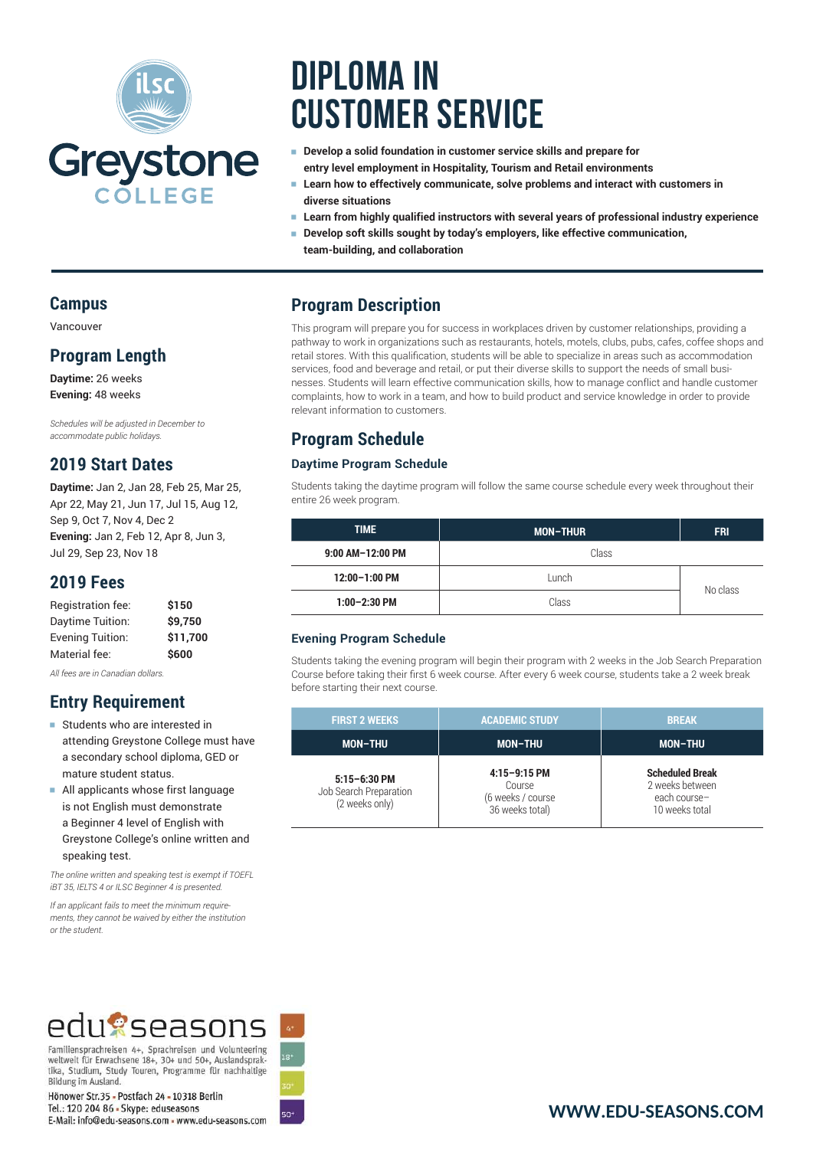

# **Diploma in Customer Service**

- **Develop a solid foundation in customer service skills and prepare for entry level employment in Hospitality, Tourism and Retail environments**
- Learn how to effectively communicate, solve problems and interact with customers in **diverse situations**
- <sup>e</sup> **Learn from highly qualified instructors with several years of professional industry experience**
- Develop soft skills sought by today's employers, like effective communication, **team-building, and collaboration**

## **Program Description**

This program will prepare you for success in workplaces driven by customer relationships, providing a pathway to work in organizations such as restaurants, hotels, motels, clubs, pubs, cafes, coffee shops and retail stores. With this qualification, students will be able to specialize in areas such as accommodation services, food and beverage and retail, or put their diverse skills to support the needs of small businesses. Students will learn effective communication skills, how to manage conflict and handle customer complaints, how to work in a team, and how to build product and service knowledge in order to provide relevant information to customers.

## **Program Schedule**

#### **Daytime Program Schedule**

Students taking the daytime program will follow the same course schedule every week throughout their entire 26 week program.

| <b>TIME</b>      | <b>MON-THUR</b> | <b>FRI</b> |
|------------------|-----------------|------------|
| 9:00 AM-12:00 PM | Class           |            |
| 12:00-1:00 PM    | Lunch           |            |
| $1:00-2:30$ PM   | Class           | No class   |

#### **Evening Program Schedule**

Students taking the evening program will begin their program with 2 weeks in the Job Search Preparation Course before taking their first 6 week course. After every 6 week course, students take a 2 week break before starting their next course.

| <b>FIRST 2 WEEKS</b>                                         | <b>ACADEMIC STUDY</b>                                            | <b>BREAK</b>                                                                |
|--------------------------------------------------------------|------------------------------------------------------------------|-----------------------------------------------------------------------------|
| <b>MON-THU</b>                                               | <b>MON-THU</b>                                                   | <b>MON-THU</b>                                                              |
| $5:15 - 6:30$ PM<br>Job Search Preparation<br>(2 weeks only) | $4:15-9:15$ PM<br>Course<br>(6 weeks / course<br>36 weeks total) | <b>Scheduled Break</b><br>2 weeks between<br>each course-<br>10 weeks total |

## **Campus**

Vancouver

#### **Program Length**

**Daytime:** 26 weeks **Evening:** 48 weeks

*Schedules will be adjusted in December to accommodate public holidays.*

## **2019 Start Dates**

**Daytime:** Jan 2, Jan 28, Feb 25, Mar 25, Apr 22, May 21, Jun 17, Jul 15, Aug 12, Sep 9, Oct 7, Nov 4, Dec 2 **Evening:** Jan 2, Feb 12, Apr 8, Jun 3, Jul 29, Sep 23, Nov 18

### **2019 Fees**

| \$150    |
|----------|
| \$9,750  |
| \$11.700 |
| \$600    |
|          |

*All fees are in Canadian dollars.*

## **Entry Requirement**

- **Example 15 Students who are interested in** attending Greystone College must have a secondary school diploma, GED or mature student status.
- <sup>e</sup> All applicants whose first language is not English must demonstrate a Beginner 4 level of English with Greystone College's online written and speaking test.

*The online written and speaking test is exempt if TOEFL iBT 35, IELTS 4 or ILSC Beginner 4 is presented.*

*If an applicant fails to meet the minimum requirements, they cannot be waived by either the institution or the student.*

## edu?seasons

Familiensprachreisen 4+, Sprachreisen und Volunteering weltweit für Erwachsene 18+, 30+ und 50+, Auslandsprak-<br>tika, Studium, Study Touren, Programme für nachhaltige Bildung im Ausland.

Hönower Str.35 - Postfach 24 - 10318 Berlin Tel.: 120 204 86 - Skype: eduseasons E-Mail: info@edu-seasons.com - www.edu-seasons.com

ริด+

## **[WWW.EDU-SEASONS.COM](https://edu-seasons.com)**